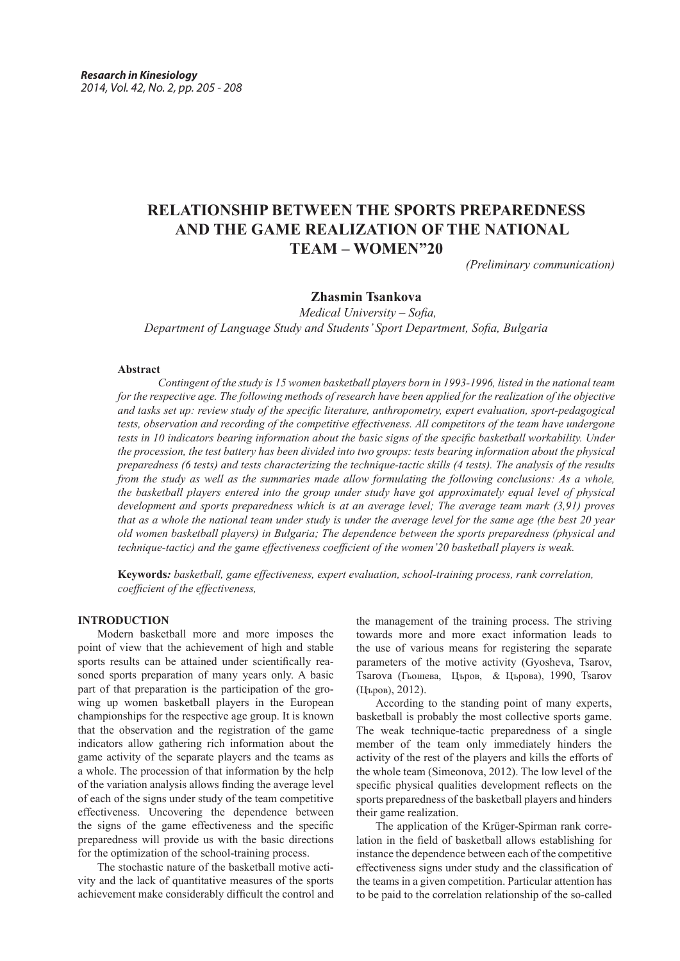# **RELATIONSHIP BETWEEN THE SPORTS PREPAREDNESS AND THE GAME REALIZATION OF THE NATIONAL TEAM – WOMEN"20**

*(Preliminary communication)*

## **Zhasmin Tsankova**

 *Medical University – Sofia, Department of Language Study and Students' Sport Department, Sofia, Bulgaria*

#### **Abstract**

*Contingent of the study is 15 women basketball players born in 1993-1996, listed in the national team for the respective age. The following methods of research have been applied for the realization of the objective and tasks set up: review study of the specific literature, anthropometry, expert evaluation, sport-pedagogical tests, observation and recording of the competitive effectiveness. All competitors of the team have undergone tests in 10 indicators bearing information about the basic signs of the specific basketball workability. Under the procession, the test battery has been divided into two groups: tests bearing information about the physical preparedness (6 tests) and tests characterizing the technique-tactic skills (4 tests). The analysis of the results from the study as well as the summaries made allow formulating the following conclusions: As a whole, the basketball players entered into the group under study have got approximately equal level of physical development and sports preparedness which is at an average level; The average team mark (3,91) proves that as a whole the national team under study is under the average level for the same age (the best 20 year old women basketball players) in Bulgaria; The dependence between the sports preparedness (physical and technique-tactic) and the game effectiveness coefficient of the women'20 basketball players is weak.* 

**Keywords***: basketball, game effectiveness, expert evaluation, school-training process, rank correlation, coefficient of the effectiveness,*

#### **INTRODUCTION**

Modern basketball more and more imposes the point of view that the achievement of high and stable sports results can be attained under scientifically reasoned sports preparation of many years only. A basic part of that preparation is the participation of the growing up women basketball players in the European championships for the respective age group. It is known that the observation and the registration of the game indicators allow gathering rich information about the game activity of the separate players and the teams as a whole. The procession of that information by the help of the variation analysis allows finding the average level of each of the signs under study of the team competitive effectiveness. Uncovering the dependence between the signs of the game effectiveness and the specific preparedness will provide us with the basic directions for the optimization of the school-training process.

The stochastic nature of the basketball motive activity and the lack of quantitative measures of the sports achievement make considerably difficult the control and the management of the training process. The striving towards more and more exact information leads to the use of various means for registering the separate parameters of the motive activity (Gyosheva, Tsarov, Tsarova (Гьошева, Църов, & Църова), 1990, Tsarov (Църов), 2012).

According to the standing point of many experts, basketball is probably the most collective sports game. The weak technique-tactic preparedness of a single member of the team only immediately hinders the activity of the rest of the players and kills the efforts of the whole team (Simeonova, 2012). The low level of the specific physical qualities development reflects on the sports preparedness of the basketball players and hinders their game realization.

The application of the Krüger-Spirman rank correlation in the field of basketball allows establishing for instance the dependence between each of the competitive effectiveness signs under study and the classification of the teams in a given competition. Particular attention has to be paid to the correlation relationship of the so-called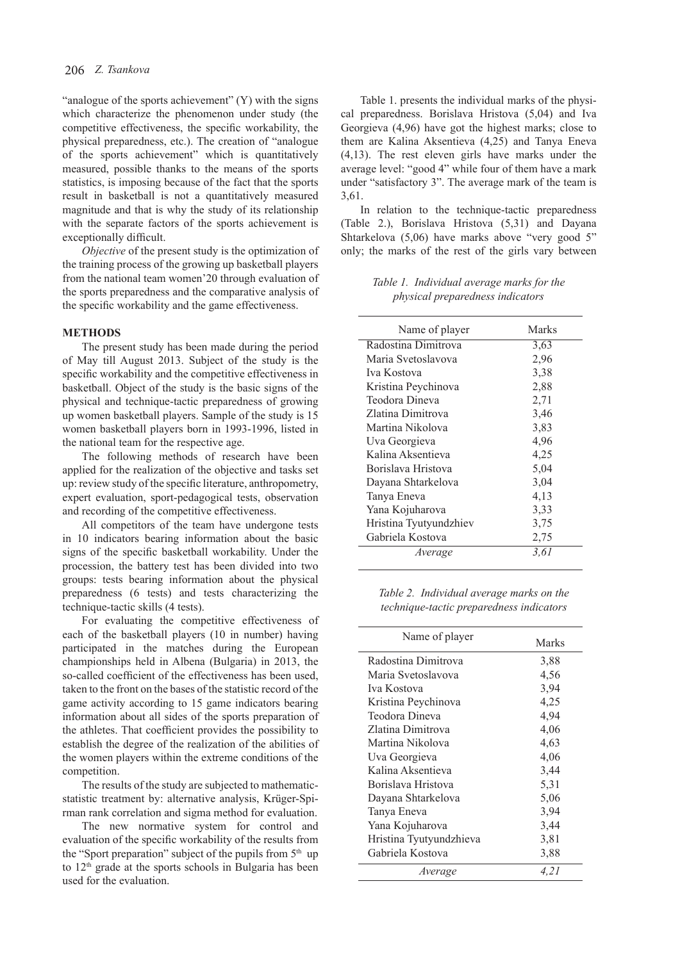"analogue of the sports achievement" (Y) with the signs which characterize the phenomenon under study (the competitive effectiveness, the specific workability, the physical preparedness, etc.). The creation of "analogue of the sports achievement" which is quantitatively measured, possible thanks to the means of the sports statistics, is imposing because of the fact that the sports result in basketball is not a quantitatively measured magnitude and that is why the study of its relationship with the separate factors of the sports achievement is exceptionally difficult.

*Objective* of the present study is the optimization of the training process of the growing up basketball players from the national team women'20 through evaluation of the sports preparedness and the comparative analysis of the specific workability and the game effectiveness.

#### **METHODS**

The present study has been made during the period of May till August 2013. Subject of the study is the specific workability and the competitive effectiveness in basketball. Object of the study is the basic signs of the physical and technique-tactic preparedness of growing up women basketball players. Sample of the study is 15 women basketball players born in 1993-1996, listed in the national team for the respective age.

The following methods of research have been applied for the realization of the objective and tasks set up: review study of the specific literature, anthropometry, expert evaluation, sport-pedagogical tests, observation and recording of the competitive effectiveness.

All competitors of the team have undergone tests in 10 indicators bearing information about the basic signs of the specific basketball workability. Under the procession, the battery test has been divided into two groups: tests bearing information about the physical preparedness (6 tests) and tests characterizing the technique-tactic skills (4 tests).

For evaluating the competitive effectiveness of each of the basketball players (10 in number) having participated in the matches during the European championships held in Albena (Bulgaria) in 2013, the so-called coefficient of the effectiveness has been used, taken to the front on the bases of the statistic record of the game activity according to 15 game indicators bearing information about all sides of the sports preparation of the athletes. That coefficient provides the possibility to establish the degree of the realization of the abilities of the women players within the extreme conditions of the competition.

The results of the study are subjected to mathematicstatistic treatment by: alternative analysis, Krüger-Spirman rank correlation and sigma method for evaluation.

The new normative system for control and evaluation of the specific workability of the results from the "Sport preparation" subject of the pupils from 5<sup>th</sup> up to 12<sup>th</sup> grade at the sports schools in Bulgaria has been used for the evaluation.

Table 1. presents the individual marks of the physical preparedness. Borislava Hristova (5,04) and Iva Georgieva (4,96) have got the highest marks; close to them are Kalina Aksentieva (4,25) and Tanya Eneva (4,13). The rest eleven girls have marks under the average level: "good 4" while four of them have a mark under "satisfactory 3". The average mark of the team is 3,61.

In relation to the technique-tactic preparedness (Table 2.), Borislava Hristova (5,31) and Dayana Shtarkelova (5,06) have marks above "very good 5" only; the marks of the rest of the girls vary between

*Table 1. Individual average marks for the physical preparedness indicators*

| Name of player         | Marks |
|------------------------|-------|
| Radostina Dimitrova    | 3,63  |
| Maria Svetoslavova     | 2,96  |
| Iva Kostova            | 3,38  |
| Kristina Peychinova    | 2,88  |
| Teodora Dineva         | 2.71  |
| Zlatina Dimitrova      | 3,46  |
| Martina Nikolova       | 3,83  |
| Uva Georgieva          | 4,96  |
| Kalina Aksentieva      | 4,25  |
| Borislava Hristova     | 5,04  |
| Dayana Shtarkelova     | 3,04  |
| Tanya Eneva            | 4,13  |
| Yana Kojuharova        | 3,33  |
| Hristina Tyutyundzhiev | 3,75  |
| Gabriela Kostova       | 2,75  |
| Average                | 3.61  |

*Table 2. Individual average marks on the technique-tactic preparedness indicators*

| Name of player          | Marks |
|-------------------------|-------|
| Radostina Dimitrova     | 3,88  |
| Maria Svetoslavova      | 4,56  |
| Iva Kostova             | 3,94  |
| Kristina Peychinova     | 4,25  |
| Teodora Dineva          | 4,94  |
| Zlatina Dimitrova       | 4,06  |
| Martina Nikolova        | 4,63  |
| Uva Georgieva           | 4,06  |
| Kalina Aksentieva       | 3,44  |
| Borislava Hristova      | 5,31  |
| Dayana Shtarkelova      | 5,06  |
| Tanya Eneva             | 3,94  |
| Yana Kojuharova         | 3,44  |
| Hristina Tyutyundzhieva | 3,81  |
| Gabriela Kostova        | 3,88  |
| Average                 | 4.21  |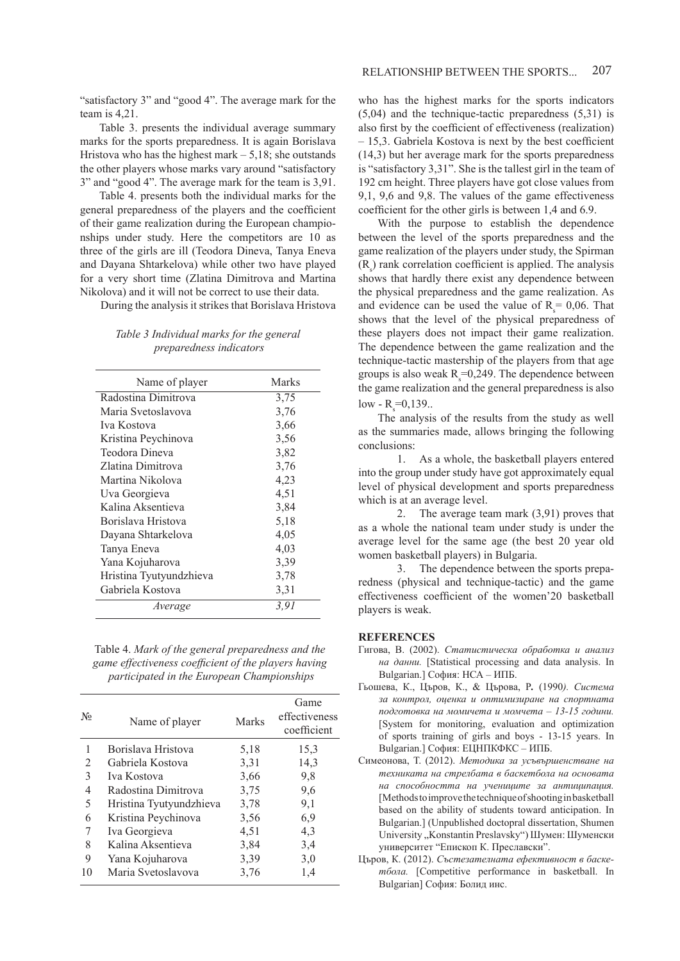team is 4,21. Table 3. presents the individual average summary marks for the sports preparedness. It is again Borislava Hristova who has the highest mark  $-5,18$ ; she outstands the other players whose marks vary around "satisfactory 3" and "good 4". The average mark for the team is 3,91.

Table 4. presents both the individual marks for the general preparedness of the players and the coefficient of their game realization during the European championships under study. Here the competitors are 10 as three of the girls are ill (Teodora Dineva, Tanya Eneva and Dayana Shtarkelova) while other two have played for a very short time (Zlatina Dimitrova and Martina Nikolova) and it will not be correct to use their data.

During the analysis it strikes that Borislava Hristova

|  | Table 3 Individual marks for the general |
|--|------------------------------------------|
|  | <i>preparedness indicators</i>           |

| Name of player          | Marks |
|-------------------------|-------|
| Radostina Dimitrova     | 3,75  |
| Maria Svetoslavova      | 3,76  |
| Iva Kostova             | 3,66  |
| Kristina Peychinova     | 3,56  |
| Teodora Dineva          | 3,82  |
| Zlatina Dimitrova       | 3,76  |
| Martina Nikolova        | 4,23  |
| Uva Georgieva           | 4,51  |
| Kalina Aksentieva       | 3,84  |
| Borislava Hristova      | 5,18  |
| Dayana Shtarkelova      | 4,05  |
| Tanya Eneva             | 4,03  |
| Yana Kojuharova         | 3,39  |
| Hristina Tyutyundzhieva | 3,78  |
| Gabriela Kostova        | 3,31  |
| Average                 | 3.91  |

Table 4. *Mark of the general preparedness and the game effectiveness coefficient of the players having participated in the European Championships*

| $N_2$          | Name of player          | <b>Marks</b> | Game<br>effectiveness<br>coefficient |
|----------------|-------------------------|--------------|--------------------------------------|
| 1              | Borislava Hristova      | 5,18         | 15,3                                 |
| $\mathfrak{D}$ | Gabriela Kostova        | 3.31         | 14,3                                 |
| 3              | Iva Kostova             | 3,66         | 9,8                                  |
| 4              | Radostina Dimitrova     | 3,75         | 9,6                                  |
| 5              | Hristina Tyutyundzhieva | 3,78         | 9,1                                  |
| 6              | Kristina Peychinova     | 3.56         | 6,9                                  |
| 7              | Iva Georgieva           | 4,51         | 4,3                                  |
| 8              | Kalina Aksentieva       | 3,84         | 3,4                                  |
| 9              | Yana Kojuharova         | 3.39         | 3,0                                  |
| 10             | Maria Svetoslavova      | 3,76         | 1,4                                  |

who has the highest marks for the sports indicators (5,04) and the technique-tactic preparedness (5,31) is also first by the coefficient of effectiveness (realization) – 15,3. Gabriela Kostova is next by the best coefficient (14,3) but her average mark for the sports preparedness is "satisfactory 3,31". She is the tallest girl in the team of 192 cm height. Three players have got close values from 9,1, 9,6 and 9,8. The values of the game effectiveness coefficient for the other girls is between 1,4 and 6.9.

With the purpose to establish the dependence between the level of the sports preparedness and the game realization of the players under study, the Spirman  $(R<sub>s</sub>)$  rank correlation coefficient is applied. The analysis shows that hardly there exist any dependence between the physical preparedness and the game realization. As and evidence can be used the value of  $R_s = 0.06$ . That shows that the level of the physical preparedness of these players does not impact their game realization. The dependence between the game realization and the technique-tactic mastership of the players from that age groups is also weak  $R_s = 0.249$ . The dependence between the game realization and the general preparedness is also  $low$  - R<sub>s</sub>=0,139..

The analysis of the results from the study as well as the summaries made, allows bringing the following conclusions:

1. As a whole, the basketball players entered into the group under study have got approximately equal level of physical development and sports preparedness which is at an average level.

2. The average team mark (3,91) proves that as a whole the national team under study is under the average level for the same age (the best 20 year old women basketball players) in Bulgaria.

3. The dependence between the sports preparedness (physical and technique-tactic) and the game effectiveness coefficient of the women'20 basketball players is weak.

#### **REFERENCES**

- Гигова, В. (2002). *Статистическа обработка и анализ на данни.* [Statistical processing and data analysis. In Bulgarian.] София: НСА – ИПБ.
- Гьошева, К., Църов, К., & Църова, Р*.* (1990*). Система за контрол, оценка и оптимизиране на спортната подготовка на момичета и момчета – 13-15 години.* [System for monitoring, evaluation and optimization of sports training of girls and boys - 13-15 years. In Bulgarian.] София: ЕЦНПКФКС – ИПБ.
- Симеонова, Т. (2012). *Методика за усъвършенстване на техниката на стрелбата в баскетбола на основата на способността на учениците за антиципация.* [Methodstoimprovethetechniqueofshootinginbasketball based on the ability of students toward anticipation. In Bulgarian.] (Unpublished doctopral dissertation, Shumen University "Konstantin Preslavsky") Шумен: Шуменски университет "Епископ К. Преславски".
- Църов, К. (2012). *Състезателната ефективност в баскетбола.* [Competitive performance in basketball. In Bulgarian] София: Болид инс.